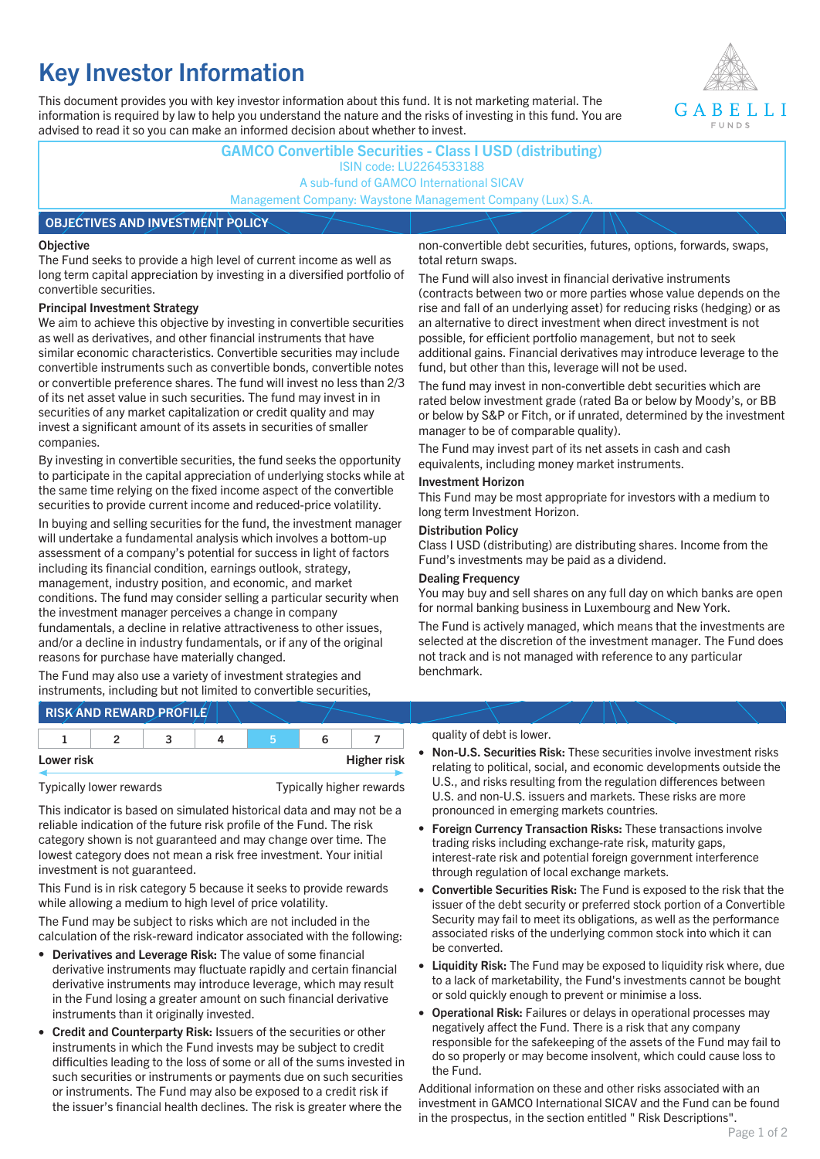# **Key Investor Information**

This document provides you with key investor information about this fund. It is not marketing material. The information is required by law to help you understand the nature and the risks of investing in this fund. You are advised to read it so you can make an informed decision about whether to invest.



**GAMCO Convertible Securities - Class I USD (distributing)** ISIN code: LU2264533188 A sub-fund of GAMCO International SICAV Management Company: Waystone Management Company (Lux) S.A.

#### **OBJECTIVES AND INVESTMENT POLICY**

#### **Objective**

The Fund seeks to provide a high level of current income as well as long term capital appreciation by investing in a diversified portfolio of convertible securities.

#### **Principal Investment Strategy**

We aim to achieve this objective by investing in convertible securities as well as derivatives, and other financial instruments that have similar economic characteristics. Convertible securities may include convertible instruments such as convertible bonds, convertible notes or convertible preference shares. The fund will invest no less than 2/3 of its net asset value in such securities. The fund may invest in in securities of any market capitalization or credit quality and may invest a significant amount of its assets in securities of smaller companies.

By investing in convertible securities, the fund seeks the opportunity to participate in the capital appreciation of underlying stocks while at the same time relying on the fixed income aspect of the convertible securities to provide current income and reduced-price volatility.

In buying and selling securities for the fund, the investment manager will undertake a fundamental analysis which involves a bottom-up assessment of a company's potential for success in light of factors including its financial condition, earnings outlook, strategy, management, industry position, and economic, and market conditions. The fund may consider selling a particular security when the investment manager perceives a change in company fundamentals, a decline in relative attractiveness to other issues, and/or a decline in industry fundamentals, or if any of the original reasons for purchase have materially changed.

The Fund may also use a variety of investment strategies and instruments, including but not limited to convertible securities, non-convertible debt securities, futures, options, forwards, swaps, total return swaps.

The Fund will also invest in financial derivative instruments (contracts between two or more parties whose value depends on the rise and fall of an underlying asset) for reducing risks (hedging) or as an alternative to direct investment when direct investment is not possible, for efficient portfolio management, but not to seek additional gains. Financial derivatives may introduce leverage to the fund, but other than this, leverage will not be used.

The fund may invest in non-convertible debt securities which are rated below investment grade (rated Ba or below by Moody's, or BB or below by S&P or Fitch, or if unrated, determined by the investment manager to be of comparable quality).

The Fund may invest part of its net assets in cash and cash equivalents, including money market instruments.

### **Investment Horizon**

This Fund may be most appropriate for investors with a medium to long term Investment Horizon.

#### **Distribution Policy**

Class I USD (distributing) are distributing shares. Income from the Fund's investments may be paid as a dividend.

#### **Dealing Frequency**

You may buy and sell shares on any full day on which banks are open for normal banking business in Luxembourg and New York.

The Fund is actively managed, which means that the investments are selected at the discretion of the investment manager. The Fund does not track and is not managed with reference to any particular benchmark.

## **RISK AND REWARD PROFILE**

|            |  | - |  |                    |
|------------|--|---|--|--------------------|
| Lower risk |  |   |  | <b>Higher risk</b> |

Typically lower rewards Typically higher rewards

This indicator is based on simulated historical data and may not be a reliable indication of the future risk profile of the Fund. The risk category shown is not guaranteed and may change over time. The lowest category does not mean a risk free investment. Your initial investment is not guaranteed.

This Fund is in risk category 5 because it seeks to provide rewards while allowing a medium to high level of price volatility.

The Fund may be subject to risks which are not included in the calculation of the risk-reward indicator associated with the following:

- **Derivatives and Leverage Risk:** The value of some financial derivative instruments may fluctuate rapidly and certain financial derivative instruments may introduce leverage, which may result in the Fund losing a greater amount on such financial derivative instruments than it originally invested.
- **Credit and Counterparty Risk:** Issuers of the securities or other instruments in which the Fund invests may be subject to credit difficulties leading to the loss of some or all of the sums invested in such securities or instruments or payments due on such securities or instruments. The Fund may also be exposed to a credit risk if the issuer's financial health declines. The risk is greater where the

#### quality of debt is lower.

- **Non-U.S. Securities Risk:** These securities involve investment risks relating to political, social, and economic developments outside the U.S., and risks resulting from the regulation differences between U.S. and non-U.S. issuers and markets. These risks are more pronounced in emerging markets countries.
- **Foreign Currency Transaction Risks:** These transactions involve trading risks including exchange-rate risk, maturity gaps, interest-rate risk and potential foreign government interference through regulation of local exchange markets.
- **Convertible Securities Risk:** The Fund is exposed to the risk that the issuer of the debt security or preferred stock portion of a Convertible Security may fail to meet its obligations, as well as the performance associated risks of the underlying common stock into which it can be converted.
- **Liquidity Risk:** The Fund may be exposed to liquidity risk where, due to a lack of marketability, the Fund's investments cannot be bought or sold quickly enough to prevent or minimise a loss.
- **Operational Risk:** Failures or delays in operational processes may negatively affect the Fund. There is a risk that any company responsible for the safekeeping of the assets of the Fund may fail to do so properly or may become insolvent, which could cause loss to the Fund.

Additional information on these and other risks associated with an investment in GAMCO International SICAV and the Fund can be found in the prospectus, in the section entitled " Risk Descriptions".